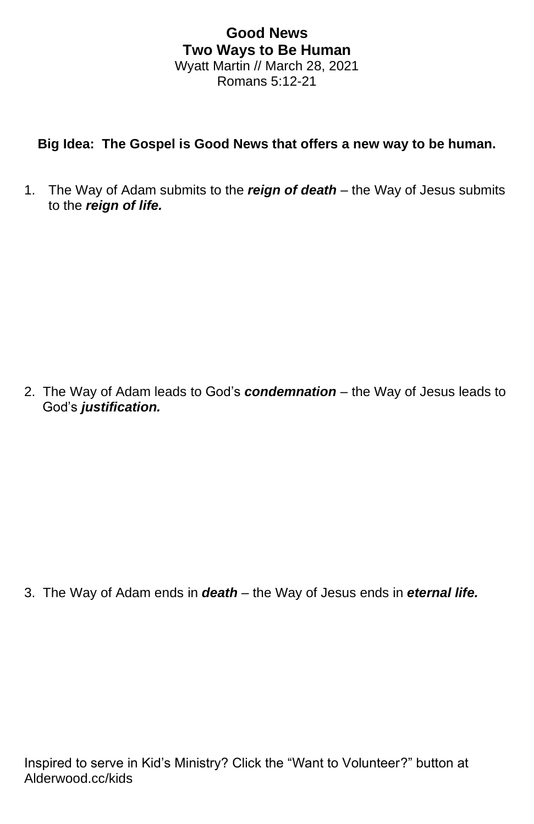## **Good News Two Ways to Be Human** Wyatt Martin // March 28, 2021 Romans 5:12-21

## **Big Idea: The Gospel is Good News that offers a new way to be human.**

1. The Way of Adam submits to the *reign of death* – the Way of Jesus submits to the *reign of life.*

2. The Way of Adam leads to God's *condemnation* – the Way of Jesus leads to God's *justification.*

3. The Way of Adam ends in *death* – the Way of Jesus ends in *eternal life.*

Inspired to serve in Kid's Ministry? Click the "Want to Volunteer?" button at Alderwood.cc/kids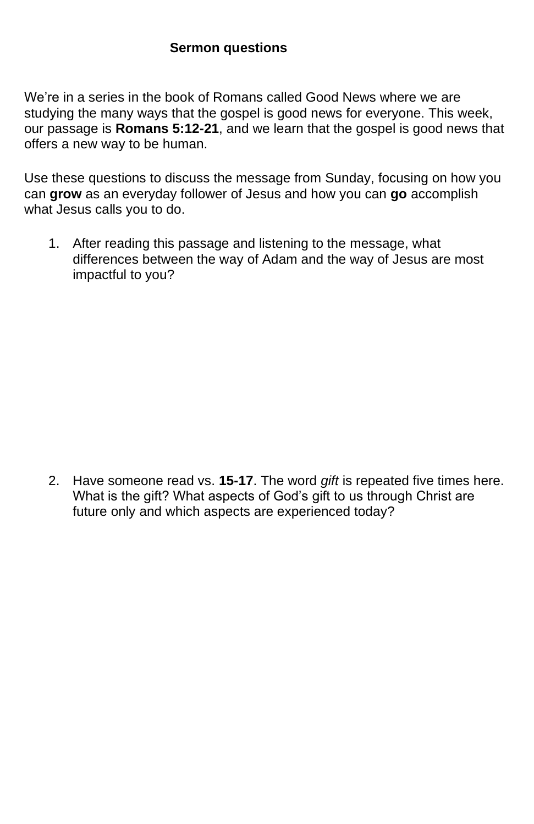## **Sermon questions**

We're in a series in the book of Romans called Good News where we are studying the many ways that the gospel is good news for everyone. This week, our passage is **Romans 5:12-21**, and we learn that the gospel is good news that offers a new way to be human.

Use these questions to discuss the message from Sunday, focusing on how you can **grow** as an everyday follower of Jesus and how you can **go** accomplish what Jesus calls you to do.

1. After reading this passage and listening to the message, what differences between the way of Adam and the way of Jesus are most impactful to you?

2. Have someone read vs. **15-17**. The word *gift* is repeated five times here. What is the gift? What aspects of God's gift to us through Christ are future only and which aspects are experienced today?